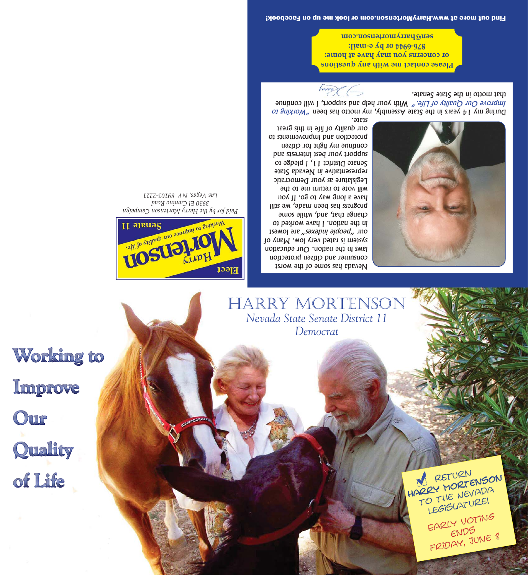Working to Improve Our Quality of Life

HARRY MORTENSON *Nevada State Senate District 11 evada State Senate District Democrat emocrat*



*Paid for by the Harry Mortenson Campaign 3930 El Camino Road Las Vegas, NV 89103-2221*

Nevada has some of the worst consumer and citizen protection laws in the nation. Our education system is rated very low. Many of  $1$ səmo $1$ ə.1 $e_{\mu}$ səxəpu $i$  ə $1$ doəd $\mu$  .1110 in the nation. I have worked to change that, and, while some progress has been made, we still have a long way to go. If you will vote to return me to the Legislature as your Democratic representative in Nevada State Senate District 11, I pledge to support your best interests and continue my hght for citizen protection and improvements to our quality of life in this great state.



RETURN<br>ARRY MORTENSON TO THE NEVADA Legislature!

EARLY VOTING

FRIDAY, JUNE 8

Amor G that motto in the State Senate. Improve Our Quality of Life." With your help and support, I will continue During my 14 years in the State Assembly, my motto has deen "Norking to

**Please contact me with any questions or concerns you may have at home: 876-6944 or by e-mail: sen@harrymortenson.com**

Find out more at www.HarryMortenson.com or look me up on Facebook!